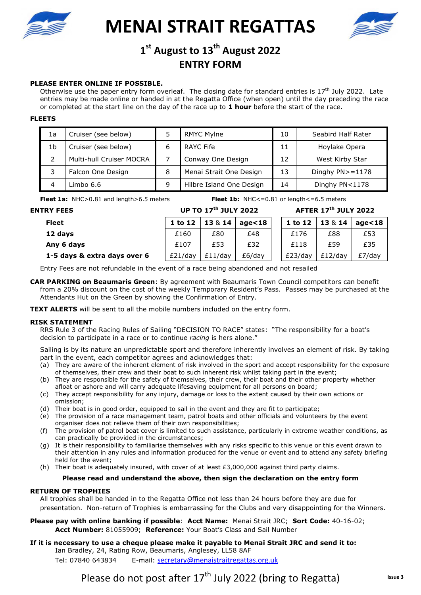

**MENAI STRAIT REGATTAS** 



# **MENATOR CONSUMING THE CONSUMING STRAIN STRAINS 1997** 1<sup>a</sup> August to 13<sup>th</sup> August 2022<br>ENTRY FORM **ENTRY FORM**

## **PLEASE ENTER ONLINE IF POSSIBLE.**

Otherwise use the paper entry form overleaf. The closing date for standard entries is  $17<sup>th</sup>$  July 2022. Late entries may be made online or handed in at the Regatta Office (when open) until the day preceding the race or completed at the start line on the day of the race up to **1 hour** before the start of the race.

### **FLEETS**

| 1a | Cruiser (see below)      |   | <b>RMYC Mylne</b>        | 10 | Seabird Half Rater   |
|----|--------------------------|---|--------------------------|----|----------------------|
| 1b | Cruiser (see below)      | 6 | <b>RAYC Fife</b>         | 11 | Hoylake Opera        |
|    | Multi-hull Cruiser MOCRA |   | Conway One Design        | 12 | West Kirby Star      |
|    | Falcon One Design        | 8 | Menai Strait One Design  | 13 | Dinghy $PN > = 1178$ |
|    | Limbo 6.6                | 9 | Hilbre Island One Design | 14 | Dinghy PN<1178       |

**Fleet 1a:** NHC>0.81 and length>6.5 meters **Fleet 1b:** NHC<=0.81 or length<=6.5 meters

**ENTRY FEES UP TO 17th JULY 2022 AFTER 17th JULY 2022** 

| Fleet                        | 1 to 12    | 13814   | age<18 | 1 to 12 |            | $13 \& 14 \mid age < 18$ |
|------------------------------|------------|---------|--------|---------|------------|--------------------------|
| 12 days                      | £160       | £80     | £48    | £176    | £88        | £53                      |
| Any 6 days                   | £107       | £53     | £32    | £118    | £59        | £35                      |
| 1-5 days & extra days over 6 | $£21$ /dav | £11/dav | £6/dav | £23/dav | $£12$ /dav | $E7$ /dav                |

Entry Fees are not refundable in the event of a race being abandoned and not resailed

**CAR PARKING on Beaumaris Green**: By agreement with Beaumaris Town Council competitors can benefit from a 20% discount on the cost of the weekly Temporary Resident's Pass. Passes may be purchased at the Attendants Hut on the Green by showing the Confirmation of Entry.

**TEXT ALERTS** will be sent to all the mobile numbers included on the entry form.

### **RISK STATEMENT**

RRS Rule 3 of the Racing Rules of Sailing "DECISION TO RACE" states: "The responsibility for a boat's decision to participate in a race or to continue *racing* is hers alone."

Sailing is by its nature an unpredictable sport and therefore inherently involves an element of risk. By taking part in the event, each competitor agrees and acknowledges that:

- (a) They are aware of the inherent element of risk involved in the sport and accept responsibility for the exposure of themselves, their crew and their boat to such inherent risk whilst taking part in the event;
- (b) They are responsible for the safety of themselves, their crew, their boat and their other property whether afloat or ashore and will carry adequate lifesaving equipment for all persons on board;
- (c) They accept responsibility for any injury, damage or loss to the extent caused by their own actions or omission;
- (d) Their boat is in good order, equipped to sail in the event and they are fit to participate;
- (e) The provision of a race management team, patrol boats and other officials and volunteers by the event organiser does not relieve them of their own responsibilities;
- (f) The provision of patrol boat cover is limited to such assistance, particularly in extreme weather conditions, as can practically be provided in the circumstances;
- (g) It is their responsibility to familiarise themselves with any risks specific to this venue or this event drawn to their attention in any rules and information produced for the venue or event and to attend any safety briefing held for the event;
- (h) Their boat is adequately insured, with cover of at least £3,000,000 against third party claims.

### **Please read and understand the above, then sign the declaration on the entry form**

### **RETURN OF TROPHIES**

All trophies shall be handed in to the Regatta Office not less than 24 hours before they are due for presentation. Non-return of Trophies is embarrassing for the Clubs and very disappointing for the Winners.

- **Please pay with online banking if possible**: **Acct Name:** Menai Strait JRC; **Sort Code:** 40-16-02; **Acct Number:** 81055909; **Reference:** Your Boat's Class and Sail Number
- **If it is necessary to use a cheque please make it payable to Menai Strait JRC and send it to:**  Ian Bradley, 24, Rating Row, Beaumaris, Anglesey, LL58 8AF Tel: 07840 643834 E-mail: secretary@menaistraitregattas.org.uk